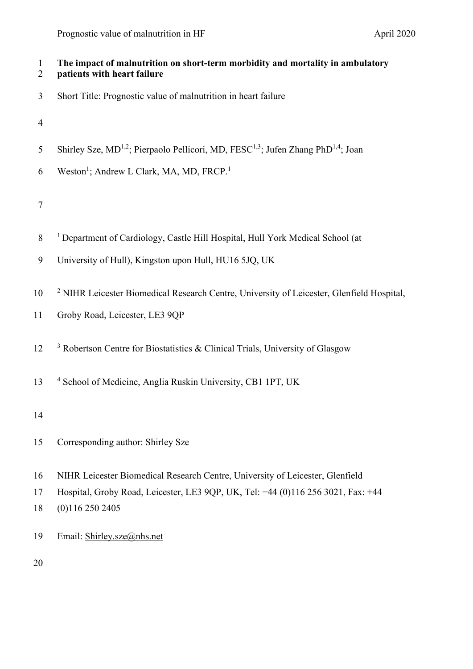| $\mathbf{1}$<br>$\overline{2}$ | The impact of malnutrition on short-term morbidity and mortality in ambulatory<br>patients with heart failure         |
|--------------------------------|-----------------------------------------------------------------------------------------------------------------------|
| 3                              | Short Title: Prognostic value of malnutrition in heart failure                                                        |
| $\overline{4}$                 |                                                                                                                       |
| 5                              | Shirley Sze, MD <sup>1,2</sup> ; Pierpaolo Pellicori, MD, FESC <sup>1,3</sup> ; Jufen Zhang PhD <sup>1,4</sup> ; Joan |
| 6                              | Weston <sup>1</sup> ; Andrew L Clark, MA, MD, FRCP. <sup>1</sup>                                                      |
| $\boldsymbol{7}$               |                                                                                                                       |
| $8\,$                          | <sup>1</sup> Department of Cardiology, Castle Hill Hospital, Hull York Medical School (at                             |
| 9                              | University of Hull), Kingston upon Hull, HU16 5JQ, UK                                                                 |
| 10                             | <sup>2</sup> NIHR Leicester Biomedical Research Centre, University of Leicester, Glenfield Hospital,                  |
| 11                             | Groby Road, Leicester, LE3 9QP                                                                                        |
| 12                             | $3$ Robertson Centre for Biostatistics & Clinical Trials, University of Glasgow                                       |
| 13                             | <sup>4</sup> School of Medicine, Anglia Ruskin University, CB1 1PT, UK                                                |
| 14                             |                                                                                                                       |
| 15                             | Corresponding author: Shirley Sze                                                                                     |
| 16                             | NIHR Leicester Biomedical Research Centre, University of Leicester, Glenfield                                         |
| 17                             | Hospital, Groby Road, Leicester, LE3 9QP, UK, Tel: +44 (0)116 256 3021, Fax: +44                                      |
| 18                             | (0)1162502405                                                                                                         |
| 19                             | Email: Shirley.sze@nhs.net                                                                                            |
| 20                             |                                                                                                                       |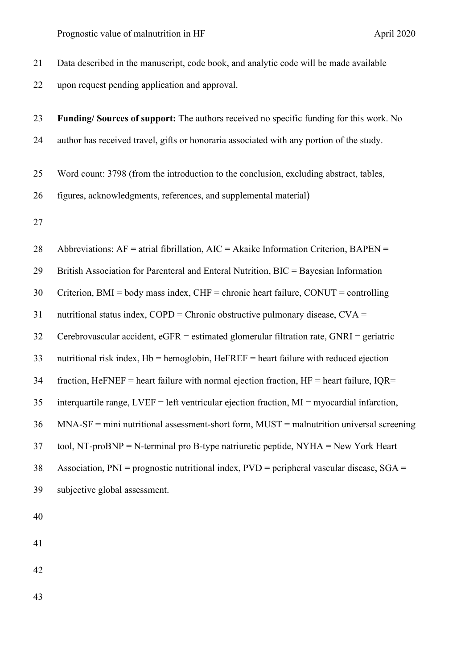| Data described in the manuscript, code book, and analytic code will be made available           |
|-------------------------------------------------------------------------------------------------|
| upon request pending application and approval.                                                  |
|                                                                                                 |
| Funding/Sources of support: The authors received no specific funding for this work. No          |
| author has received travel, gifts or honoraria associated with any portion of the study.        |
| Word count: 3798 (from the introduction to the conclusion, excluding abstract, tables,          |
| figures, acknowledgments, references, and supplemental material)                                |
|                                                                                                 |
| Abbreviations: $AF =$ atrial fibrillation, $AIC = Akaike$ Information Criterion, $BAPEN =$      |
| British Association for Parenteral and Enteral Nutrition, BIC = Bayesian Information            |
| Criterion, BMI = body mass index, CHF = chronic heart failure, CONUT = controlling              |
| nutritional status index, $COPD =$ Chronic obstructive pulmonary disease, $CVA =$               |
| Cerebrovascular accident, $eGFR =$ estimated glomerular filtration rate, $GNRI =$ geriatric     |
| nutritional risk index, $Hb =$ hemoglobin, $HeFREF =$ heart failure with reduced ejection       |
| fraction, HeFNEF = heart failure with normal ejection fraction, $HF =$ heart failure, IQR=      |
| interquartile range, $LVEF = left$ ventricular ejection fraction, $MI = myocardial$ infarction, |
| $MNA-SF = mini$ nutritional assessment-short form, $MUST = malnutrition$ universal screening    |
| tool, NT-proBNP = N-terminal pro B-type natriuretic peptide, NYHA = New York Heart              |
| Association, $PNI =$ prognostic nutritional index, $PVD =$ peripheral vascular disease, $SGA =$ |
| subjective global assessment.                                                                   |
|                                                                                                 |
|                                                                                                 |
|                                                                                                 |
|                                                                                                 |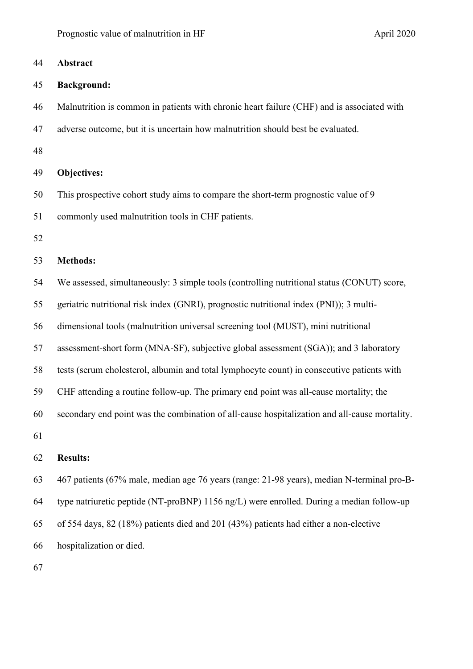Prognostic value of malnutrition in HF April 2020

| 44 | Abstract                                                                                      |
|----|-----------------------------------------------------------------------------------------------|
| 45 | <b>Background:</b>                                                                            |
| 46 | Malnutrition is common in patients with chronic heart failure (CHF) and is associated with    |
| 47 | adverse outcome, but it is uncertain how malnutrition should best be evaluated.               |
| 48 |                                                                                               |
| 49 | <b>Objectives:</b>                                                                            |
| 50 | This prospective cohort study aims to compare the short-term prognostic value of 9            |
| 51 | commonly used malnutrition tools in CHF patients.                                             |
| 52 |                                                                                               |
| 53 | <b>Methods:</b>                                                                               |
| 54 | We assessed, simultaneously: 3 simple tools (controlling nutritional status (CONUT) score,    |
| 55 | geriatric nutritional risk index (GNRI), prognostic nutritional index (PNI)); 3 multi-        |
| 56 | dimensional tools (malnutrition universal screening tool (MUST), mini nutritional             |
| 57 | assessment-short form (MNA-SF), subjective global assessment (SGA)); and 3 laboratory         |
| 58 | tests (serum cholesterol, albumin and total lymphocyte count) in consecutive patients with    |
| 59 | CHF attending a routine follow-up. The primary end point was all-cause mortality; the         |
| 60 | secondary end point was the combination of all-cause hospitalization and all-cause mortality. |
| 61 |                                                                                               |
| 62 | <b>Results:</b>                                                                               |
| 63 | 467 patients (67% male, median age 76 years (range: 21-98 years), median N-terminal pro-B-    |
| 64 | type natriuretic peptide (NT-proBNP) 1156 ng/L) were enrolled. During a median follow-up      |
| 65 | of 554 days, 82 (18%) patients died and 201 (43%) patients had either a non-elective          |
|    |                                                                                               |

hospitalization or died.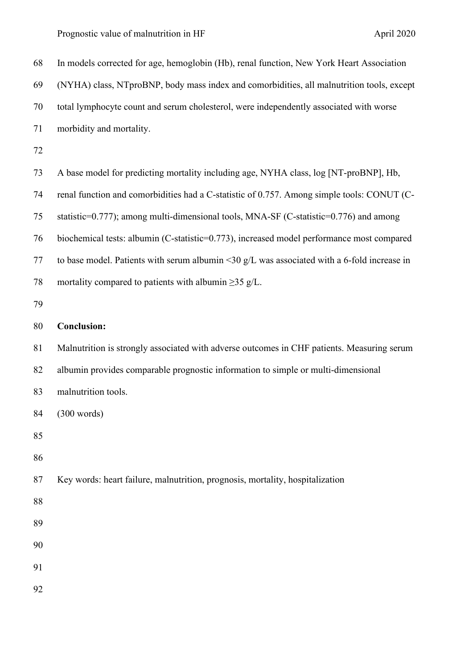| 68 | In models corrected for age, hemoglobin (Hb), renal function, New York Heart Association      |
|----|-----------------------------------------------------------------------------------------------|
| 69 | (NYHA) class, NTproBNP, body mass index and comorbidities, all malnutrition tools, except     |
| 70 | total lymphocyte count and serum cholesterol, were independently associated with worse        |
| 71 | morbidity and mortality.                                                                      |
| 72 |                                                                                               |
| 73 | A base model for predicting mortality including age, NYHA class, log [NT-proBNP], Hb,         |
| 74 | renal function and comorbidities had a C-statistic of 0.757. Among simple tools: CONUT (C-    |
| 75 | statistic=0.777); among multi-dimensional tools, MNA-SF (C-statistic=0.776) and among         |
| 76 | biochemical tests: albumin (C-statistic=0.773), increased model performance most compared     |
| 77 | to base model. Patients with serum albumin <30 $g/L$ was associated with a 6-fold increase in |
| 78 | mortality compared to patients with albumin $\geq$ 35 g/L.                                    |
| 79 |                                                                                               |
| 80 | <b>Conclusion:</b>                                                                            |
| 81 | Malnutrition is strongly associated with adverse outcomes in CHF patients. Measuring serum    |
| 82 | albumin provides comparable prognostic information to simple or multi-dimensional             |
| 83 | malnutrition tools.                                                                           |
| 84 | (300 words)                                                                                   |
| 85 |                                                                                               |
| 86 |                                                                                               |
| 87 | Key words: heart failure, malnutrition, prognosis, mortality, hospitalization                 |
| 88 |                                                                                               |
| 89 |                                                                                               |
| 90 |                                                                                               |
| 91 |                                                                                               |
| 92 |                                                                                               |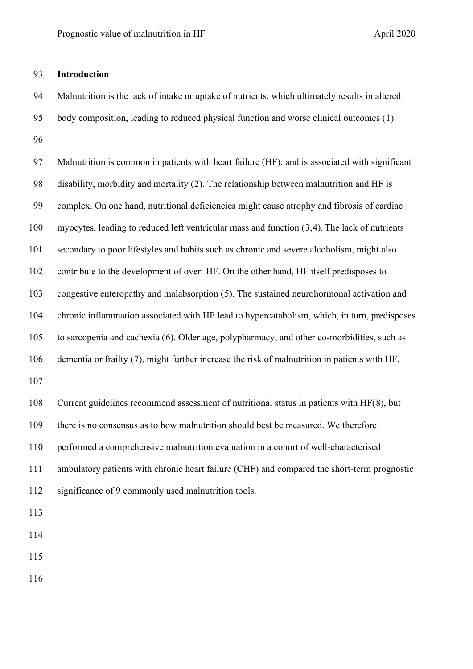### **Introduction**

 Malnutrition is the lack of intake or uptake of nutrients, which ultimately results in altered body composition, leading to reduced physical function and worse clinical outcomes ([1\)](#page-30-0). 

 Malnutrition is common in patients with heart failure (HF), and is associated with significant disability, morbidity and mortality ([2\)](#page-30-1). The relationship between malnutrition and HF is complex. On one hand, nutritional deficiencies might cause atrophy and fibrosis of cardiac myocytes, leading to reduced left ventricular mass and function ([3](#page-30-2),[4\)](#page-30-3). The lack of nutrients secondary to poor lifestyles and habits such as chronic and severe alcoholism, might also contribute to the development of overt HF. On the other hand, HF itself predisposes to congestive enteropathy and malabsorption ([5](#page-30-4)). The sustained neurohormonal activation and chronic inflammation associated with HF lead to hypercatabolism, which, in turn, predisposes to sarcopenia and cachexia ([6](#page-30-5)). Older age, polypharmacy, and other co-morbidities, such as dementia or frailty ([7\)](#page-30-6), might further increase the risk of malnutrition in patients with HF. 

 Current guidelines recommend assessment of nutritional status in patients with HF([8](#page-30-7)), but there is no consensus as to how malnutrition should best be measured. We therefore performed a comprehensive malnutrition evaluation in a cohort of well-characterised ambulatory patients with chronic heart failure (CHF) and compared the short-term prognostic significance of 9 commonly used malnutrition tools.

- 
- 
- 
-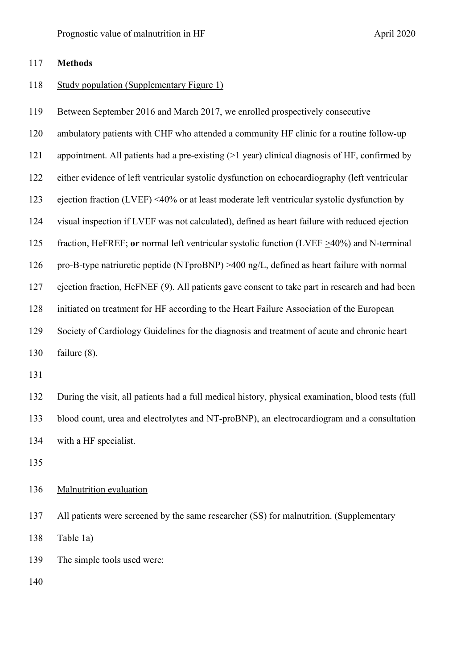### **Methods**

#### Study population (Supplementary Figure 1)

Between September 2016 and March 2017, we enrolled prospectively consecutive

ambulatory patients with CHF who attended a community HF clinic for a routine follow-up

appointment. All patients had a pre-existing (>1 year) clinical diagnosis of HF, confirmed by

either evidence of left ventricular systolic dysfunction on echocardiography (left ventricular

ejection fraction (LVEF) <40% or at least moderate left ventricular systolic dysfunction by

visual inspection if LVEF was not calculated), defined as heart failure with reduced ejection

fraction, HeFREF; **or** normal left ventricular systolic function (LVEF >40%) and N-terminal

pro-B-type natriuretic peptide (NTproBNP) >400 ng/L, defined as heart failure with normal

ejection fraction, HeFNEF ([9](#page-31-0)). All patients gave consent to take part in research and had been

initiated on treatment for HF according to the Heart Failure Association of the European

Society of Cardiology Guidelines for the diagnosis and treatment of acute and chronic heart

failure (8).

 During the visit, all patients had a full medical history, physical examination, blood tests (full blood count, urea and electrolytes and NT-proBNP), an electrocardiogram and a consultation with a HF specialist.

### 136 Malnutrition evaluation

 All patients were screened by the same researcher (SS) for malnutrition. (Supplementary Table 1a)

The simple tools used were: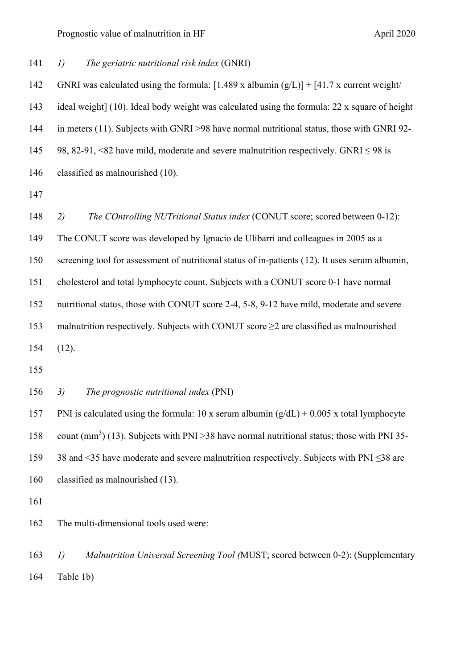*1) The geriatric nutritional risk index* (GNRI)

142 GNRI was calculated using the formula:  $[1.489 \times \text{albumin (g/L)}] + [41.7 \times \text{current weight}/$  ideal weight] ([10](#page-31-1)). Ideal body weight was calculated using the formula: 22 x square of height in meters ([11\)](#page-31-2). Subjects with GNRI >98 have normal nutritional status, those with GNRI 92- 145 98, 82-91, <82 have mild, moderate and severe malnutrition respectively. GNRI  $\leq$  98 is classified as malnourished (10).

 *2) The COntrolling NUTritional Status index* (CONUT score; scored between 0-12): The CONUT score was developed by Ignacio de Ulibarri and colleagues in 2005 as a screening tool for assessment of nutritional status of in-patients ([12\)](#page-31-3). It uses serum albumin, cholesterol and total lymphocyte count. Subjects with a CONUT score 0-1 have normal nutritional status, those with CONUT score 2-4, 5-8, 9-12 have mild, moderate and severe 153 malnutrition respectively. Subjects with CONUT score  $\geq 2$  are classified as malnourished (12).

*3) The prognostic nutritional index* (PNI)

157 PNI is calculated using the formula: 10 x serum albumin  $(g/dL) + 0.005$  x total lymphocyte 158 count  $(mm<sup>3</sup>)$  ([13\)](#page-31-4). Subjects with PNI >38 have normal nutritional status; those with PNI 35- 38 and <35 have moderate and severe malnutrition respectively. Subjects with PNI ≤38 are classified as malnourished (13).

The multi-dimensional tools used were:

 *1) Malnutrition Universal Screening Tool (*MUST; scored between 0-2): (Supplementary Table 1b)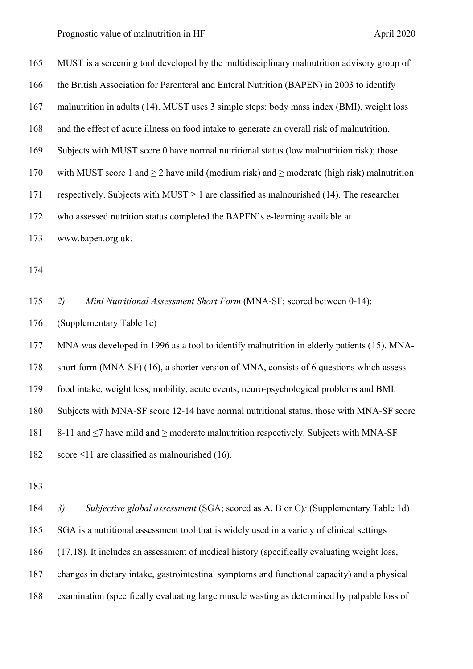Prognostic value of malnutrition in HF April 2020

| 165 | MUST is a screening tool developed by the multidisciplinary malnutrition advisory group of          |
|-----|-----------------------------------------------------------------------------------------------------|
| 166 | the British Association for Parenteral and Enteral Nutrition (BAPEN) in 2003 to identify            |
| 167 | malnutrition in adults (14). MUST uses 3 simple steps: body mass index (BMI), weight loss           |
| 168 | and the effect of acute illness on food intake to generate an overall risk of malnutrition.         |
| 169 | Subjects with MUST score 0 have normal nutritional status (low malnutrition risk); those            |
| 170 | with MUST score 1 and $\geq$ 2 have mild (medium risk) and $\geq$ moderate (high risk) malnutrition |
| 171 | respectively. Subjects with MUST $\geq 1$ are classified as malnourished (14). The researcher       |
| 172 | who assessed nutrition status completed the BAPEN's e-learning available at                         |
| 173 | www.bapen.org.uk.                                                                                   |
| 174 |                                                                                                     |
| 175 | Mini Nutritional Assessment Short Form (MNA-SF; scored between 0-14):<br>2)                         |
| 176 | (Supplementary Table 1c)                                                                            |
| 177 | MNA was developed in 1996 as a tool to identify malnutrition in elderly patients (15). MNA-         |
| 178 | short form (MNA-SF) (16), a shorter version of MNA, consists of 6 questions which assess            |
| 179 | food intake, weight loss, mobility, acute events, neuro-psychological problems and BMI.             |
| 180 | Subjects with MNA-SF score 12-14 have normal nutritional status, those with MNA-SF score            |
| 181 | 8-11 and $\leq$ 7 have mild and $\geq$ moderate malnutrition respectively. Subjects with MNA-SF     |
| 182 | score $\leq$ 11 are classified as malnourished (16).                                                |
| 183 |                                                                                                     |
| 184 | 3)<br>Subjective global assessment (SGA; scored as A, B or C): (Supplementary Table 1d)             |
| 185 | SGA is a nutritional assessment tool that is widely used in a variety of clinical settings          |

([17,](#page-32-1)[18](#page-32-2)). It includes an assessment of medical history (specifically evaluating weight loss,

changes in dietary intake, gastrointestinal symptoms and functional capacity) and a physical

examination (specifically evaluating large muscle wasting as determined by palpable loss of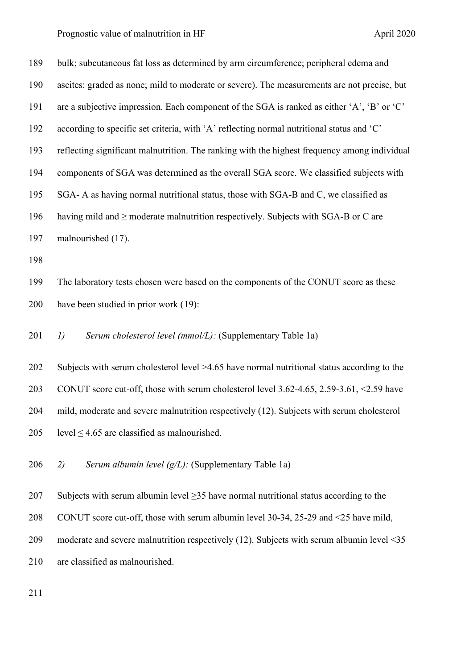| 189 | bulk; subcutaneous fat loss as determined by arm circumference; peripheral edema and         |
|-----|----------------------------------------------------------------------------------------------|
| 190 | ascites: graded as none; mild to moderate or severe). The measurements are not precise, but  |
| 191 | are a subjective impression. Each component of the SGA is ranked as either 'A', 'B' or 'C'   |
| 192 | according to specific set criteria, with 'A' reflecting normal nutritional status and 'C'    |
| 193 | reflecting significant malnutrition. The ranking with the highest frequency among individual |
| 194 | components of SGA was determined as the overall SGA score. We classified subjects with       |
| 195 | SGA-A as having normal nutritional status, those with SGA-B and C, we classified as          |
| 196 | having mild and $\geq$ moderate malnutrition respectively. Subjects with SGA-B or C are      |
| 197 | malnourished (17).                                                                           |
| 198 |                                                                                              |
| 199 | The laboratory tests chosen were based on the components of the CONUT score as these         |
| 200 | have been studied in prior work (19):                                                        |
| 201 | Serum cholesterol level (mmol/L): (Supplementary Table 1a)<br>I)                             |
| 202 | Subjects with serum cholesterol level >4.65 have normal nutritional status according to the  |
| 203 | CONUT score cut-off, those with serum cholesterol level 3.62-4.65, 2.59-3.61, <2.59 have     |
| 204 | mild, moderate and severe malnutrition respectively (12). Subjects with serum cholesterol    |
| 205 | level $\leq$ 4.65 are classified as malnourished.                                            |
| 206 | Serum albumin level $(g/L)$ : (Supplementary Table 1a)<br>2)                                 |
| 207 | Subjects with serum albumin level $\geq$ 35 have normal nutritional status according to the  |
| 208 | CONUT score cut-off, those with serum albumin level 30-34, 25-29 and <25 have mild,          |
| 209 | moderate and severe malnutrition respectively $(12)$ . Subjects with serum albumin level <35 |
| 210 | are classified as malnourished.                                                              |
| 211 |                                                                                              |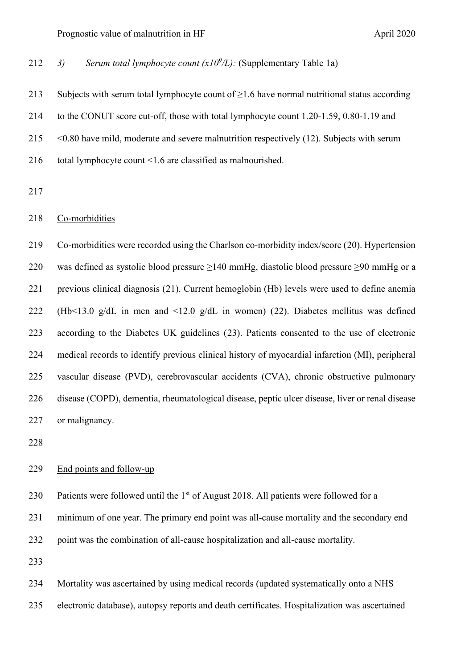212 *3) Serum total lymphocyte count*  $(x10^9/L)$ *:* (Supplementary Table 1a)

213 Subjects with serum total lymphocyte count of  $\geq$ 1.6 have normal nutritional status according to the CONUT score cut-off, those with total lymphocyte count 1.20-1.59, 0.80-1.19 and <0.80 have mild, moderate and severe malnutrition respectively (12). Subjects with serum total lymphocyte count <1.6 are classified as malnourished.

#### Co-morbidities

 Co-morbidities were recorded using the Charlson co-morbidity index/score ([20](#page-32-4)). Hypertension was defined as systolic blood pressure ≥140 mmHg, diastolic blood pressure ≥90 mmHg or a previous clinical diagnosis ([21\)](#page-32-5). Current hemoglobin (Hb) levels were used to define anemia (Hb<13.0 g/dL in men and <12.0 g/dL in women) ([22](#page-32-6)). Diabetes mellitus was defined according to the Diabetes UK guidelines ([23](#page-33-0)). Patients consented to the use of electronic medical records to identify previous clinical history of myocardial infarction (MI), peripheral vascular disease (PVD), cerebrovascular accidents (CVA), chronic obstructive pulmonary disease (COPD), dementia, rheumatological disease, peptic ulcer disease, liver or renal disease or malignancy.

### End points and follow-up

230 Patients were followed until the 1<sup>st</sup> of August 2018. All patients were followed for a

minimum of one year. The primary end point was all-cause mortality and the secondary end

point was the combination of all-cause hospitalization and all-cause mortality.

Mortality was ascertained by using medical records (updated systematically onto a NHS

electronic database), autopsy reports and death certificates. Hospitalization was ascertained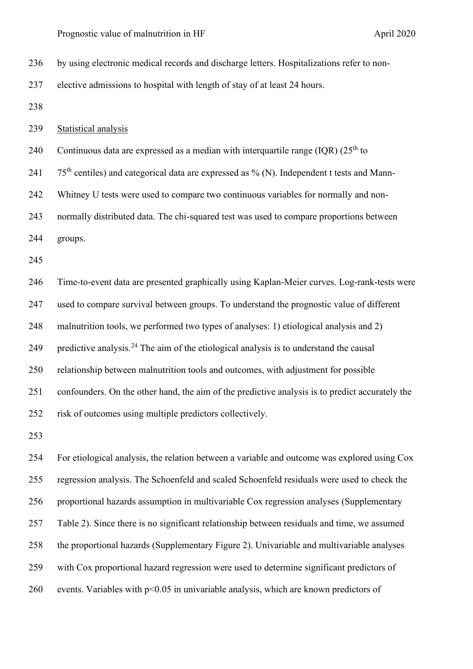by using electronic medical records and discharge letters. Hospitalizations refer to non-

elective admissions to hospital with length of stay of at least 24 hours.

Statistical analysis

240 Continuous data are expressed as a median with interquartile range  $(IQR)$  (25<sup>th</sup> to

241  $75<sup>th</sup>$  centiles) and categorical data are expressed as % (N). Independent t tests and Mann-

Whitney U tests were used to compare two continuous variables for normally and non-

normally distributed data. The chi-squared test was used to compare proportions between

groups.

 Time-to-event data are presented graphically using Kaplan-Meier curves. Log-rank-tests were used to compare survival between groups. To understand the prognostic value of different malnutrition tools, we performed two types of analyses: 1) etiological analysis and 2) 9 predictive analysis.<sup>24</sup> The aim of the etiological analysis is to understand the causal relationship between malnutrition tools and outcomes, with adjustment for possible confounders. On the other hand, the aim of the predictive analysis is to predict accurately the risk of outcomes using multiple predictors collectively.

 For etiological analysis, the relation between a variable and outcome was explored using Cox regression analysis. The Schoenfeld and scaled Schoenfeld residuals were used to check the proportional hazards assumption in multivariable Cox regression analyses (Supplementary Table 2). Since there is no significant relationship between residuals and time, we assumed the proportional hazards (Supplementary Figure 2). Univariable and multivariable analyses with Cox proportional hazard regression were used to determine significant predictors of events. Variables with p<0.05 in univariable analysis, which are known predictors of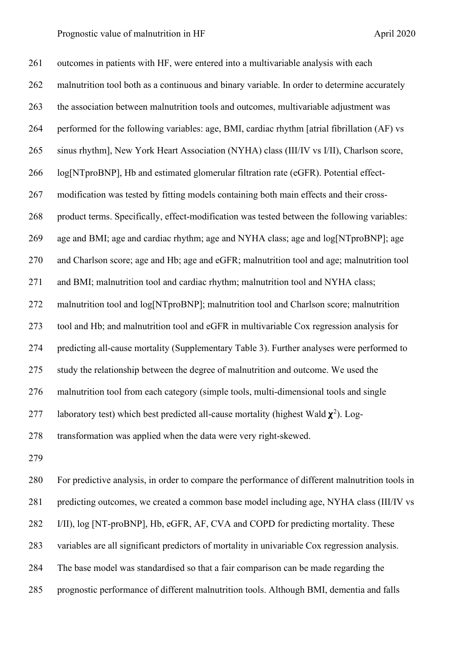261 outcomes in patients with HF, were entered into a multivariable analysis with each malnutrition tool both as a continuous and binary variable. In order to determine accurately the association between malnutrition tools and outcomes, multivariable adjustment was performed for the following variables: age, BMI, cardiac rhythm [atrial fibrillation (AF) vs sinus rhythm], New York Heart Association (NYHA) class (III/IV vs I/II), Charlson score, log[NTproBNP], Hb and estimated glomerular filtration rate (eGFR). Potential effect- modification was tested by fitting models containing both main effects and their cross- product terms. Specifically, effect-modification was tested between the following variables: age and BMI; age and cardiac rhythm; age and NYHA class; age and log[NTproBNP]; age and Charlson score; age and Hb; age and eGFR; malnutrition tool and age; malnutrition tool and BMI; malnutrition tool and cardiac rhythm; malnutrition tool and NYHA class; 272 malnutrition tool and log[NTproBNP]; malnutrition tool and Charlson score; malnutrition tool and Hb; and malnutrition tool and eGFR in multivariable Cox regression analysis for predicting all-cause mortality (Supplementary Table 3). Further analyses were performed to study the relationship between the degree of malnutrition and outcome. We used the malnutrition tool from each category (simple tools, multi-dimensional tools and single 277 laboratory test) which best predicted all-cause mortality (highest Wald  $\chi^2$ ). Log-transformation was applied when the data were very right-skewed.

 For predictive analysis, in order to compare the performance of different malnutrition tools in 281 predicting outcomes, we created a common base model including age, NYHA class (III/IV vs I/II), log [NT-proBNP], Hb, eGFR, AF, CVA and COPD for predicting mortality. These variables are all significant predictors of mortality in univariable Cox regression analysis. The base model was standardised so that a fair comparison can be made regarding the prognostic performance of different malnutrition tools. Although BMI, dementia and falls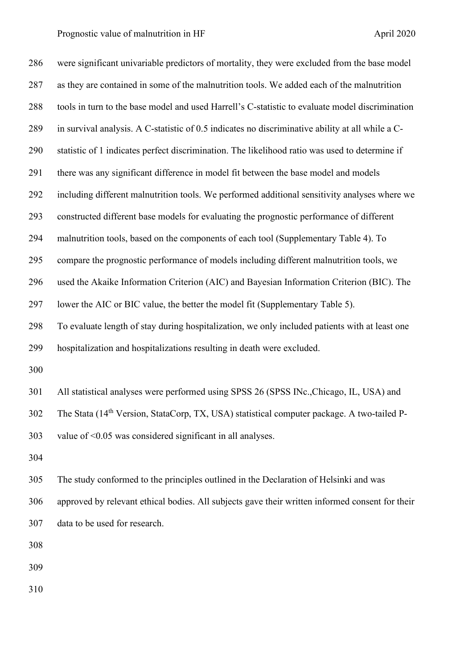Prognostic value of malnutrition in HF April 2020

 were significant univariable predictors of mortality, they were excluded from the base model as they are contained in some of the malnutrition tools. We added each of the malnutrition tools in turn to the base model and used Harrell's C-statistic to evaluate model discrimination in survival analysis. A C-statistic of 0.5 indicates no discriminative ability at all while a C- statistic of 1 indicates perfect discrimination. The likelihood ratio was used to determine if there was any significant difference in model fit between the base model and models including different malnutrition tools. We performed additional sensitivity analyses where we constructed different base models for evaluating the prognostic performance of different malnutrition tools, based on the components of each tool (Supplementary Table 4). To compare the prognostic performance of models including different malnutrition tools, we used the Akaike Information Criterion (AIC) and Bayesian Information Criterion (BIC). The lower the AIC or BIC value, the better the model fit (Supplementary Table 5). To evaluate length of stay during hospitalization, we only included patients with at least one hospitalization and hospitalizations resulting in death were excluded. All statistical analyses were performed using SPSS 26 (SPSS INc.,Chicago, IL, USA) and 302 The Stata (14<sup>th</sup> Version, StataCorp, TX, USA) statistical computer package. A two-tailed P- value of <0.05 was considered significant in all analyses. The study conformed to the principles outlined in the Declaration of Helsinki and was approved by relevant ethical bodies. All subjects gave their written informed consent for their data to be used for research.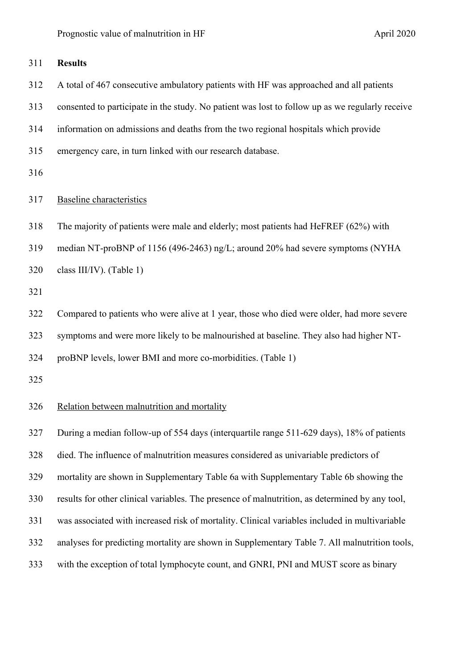| 311 | <b>Results</b>                                                                                  |
|-----|-------------------------------------------------------------------------------------------------|
| 312 | A total of 467 consecutive ambulatory patients with HF was approached and all patients          |
| 313 | consented to participate in the study. No patient was lost to follow up as we regularly receive |
| 314 | information on admissions and deaths from the two regional hospitals which provide              |
| 315 | emergency care, in turn linked with our research database.                                      |
| 316 |                                                                                                 |
| 317 | <b>Baseline</b> characteristics                                                                 |
| 318 | The majority of patients were male and elderly; most patients had HeFREF (62%) with             |
| 319 | median NT-proBNP of 1156 (496-2463) ng/L; around 20% had severe symptoms (NYHA                  |
| 320 | class III/IV). (Table 1)                                                                        |
| 321 |                                                                                                 |
| 322 | Compared to patients who were alive at 1 year, those who died were older, had more severe       |
| 323 | symptoms and were more likely to be malnourished at baseline. They also had higher NT-          |
| 324 | proBNP levels, lower BMI and more co-morbidities. (Table 1)                                     |
| 325 |                                                                                                 |
| 326 | Relation between malnutrition and mortality                                                     |
| 327 | During a median follow-up of 554 days (interquartile range 511-629 days), 18% of patients       |
| 328 | died. The influence of malnutrition measures considered as univariable predictors of            |
| 329 | mortality are shown in Supplementary Table 6a with Supplementary Table 6b showing the           |
| 330 | results for other clinical variables. The presence of malnutrition, as determined by any tool,  |
| 331 | was associated with increased risk of mortality. Clinical variables included in multivariable   |
| 332 | analyses for predicting mortality are shown in Supplementary Table 7. All malnutrition tools,   |

with the exception of total lymphocyte count, and GNRI, PNI and MUST score as binary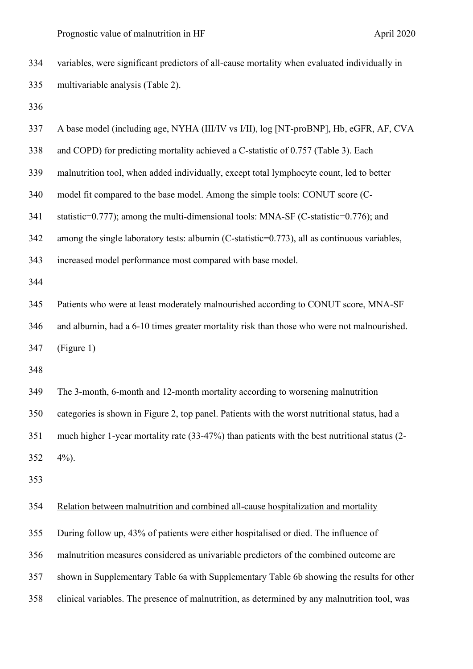variables, were significant predictors of all-cause mortality when evaluated individually in multivariable analysis (Table 2). A base model (including age, NYHA (III/IV vs I/II), log [NT-proBNP], Hb, eGFR, AF, CVA and COPD) for predicting mortality achieved a C-statistic of 0.757 (Table 3). Each malnutrition tool, when added individually, except total lymphocyte count, led to better model fit compared to the base model. Among the simple tools: CONUT score (C- statistic=0.777); among the multi-dimensional tools: MNA-SF (C-statistic=0.776); and among the single laboratory tests: albumin (C-statistic=0.773), all as continuous variables, increased model performance most compared with base model. Patients who were at least moderately malnourished according to CONUT score, MNA-SF and albumin, had a 6-10 times greater mortality risk than those who were not malnourished. (Figure 1) The 3-month, 6-month and 12-month mortality according to worsening malnutrition categories is shown in Figure 2, top panel. Patients with the worst nutritional status, had a much higher 1-year mortality rate (33-47%) than patients with the best nutritional status (2- 4%). Relation between malnutrition and combined all-cause hospitalization and mortality During follow up, 43% of patients were either hospitalised or died. The influence of malnutrition measures considered as univariable predictors of the combined outcome are shown in Supplementary Table 6a with Supplementary Table 6b showing the results for other clinical variables. The presence of malnutrition, as determined by any malnutrition tool, was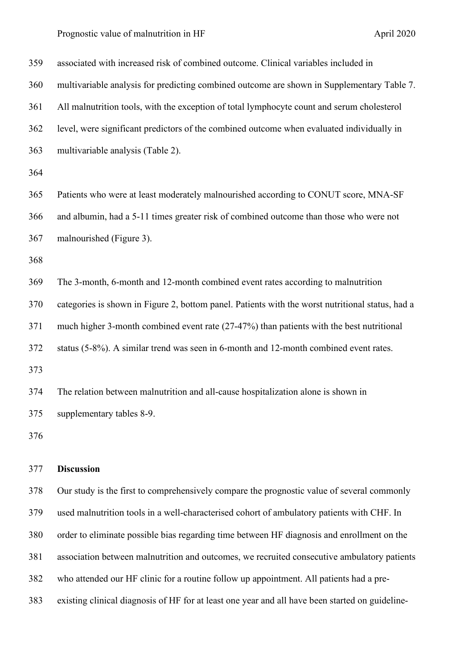Prognostic value of malnutrition in HF April 2020

| 359 | associated with increased risk of combined outcome. Clinical variables included in               |
|-----|--------------------------------------------------------------------------------------------------|
| 360 | multivariable analysis for predicting combined outcome are shown in Supplementary Table 7.       |
| 361 | All malnutrition tools, with the exception of total lymphocyte count and serum cholesterol       |
| 362 | level, were significant predictors of the combined outcome when evaluated individually in        |
| 363 | multivariable analysis (Table 2).                                                                |
| 364 |                                                                                                  |
| 365 | Patients who were at least moderately malnourished according to CONUT score, MNA-SF              |
| 366 | and albumin, had a 5-11 times greater risk of combined outcome than those who were not           |
| 367 | malnourished (Figure 3).                                                                         |
| 368 |                                                                                                  |
| 369 | The 3-month, 6-month and 12-month combined event rates according to malnutrition                 |
| 370 | categories is shown in Figure 2, bottom panel. Patients with the worst nutritional status, had a |
| 371 |                                                                                                  |
|     | much higher 3-month combined event rate (27-47%) than patients with the best nutritional         |
| 372 | status (5-8%). A similar trend was seen in 6-month and 12-month combined event rates.            |
| 373 |                                                                                                  |
| 374 | The relation between malnutrition and all-cause hospitalization alone is shown in                |
| 375 | supplementary tables 8-9.                                                                        |
| 376 |                                                                                                  |

 Our study is the first to comprehensively compare the prognostic value of several commonly used malnutrition tools in a well-characterised cohort of ambulatory patients with CHF. In order to eliminate possible bias regarding time between HF diagnosis and enrollment on the association between malnutrition and outcomes, we recruited consecutive ambulatory patients who attended our HF clinic for a routine follow up appointment. All patients had a pre-existing clinical diagnosis of HF for at least one year and all have been started on guideline-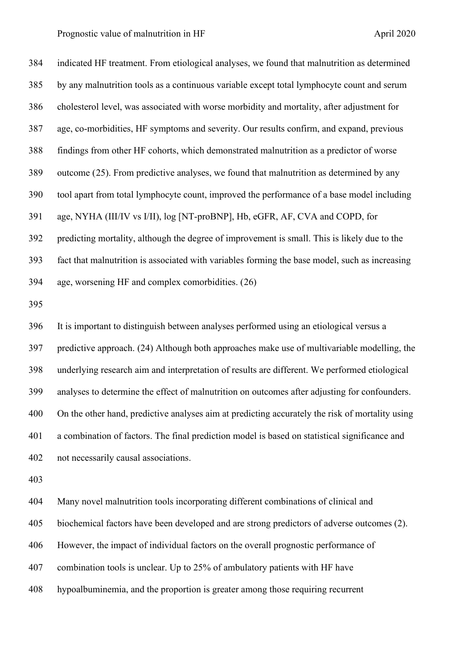indicated HF treatment. From etiological analyses, we found that malnutrition as determined by any malnutrition tools as a continuous variable except total lymphocyte count and serum cholesterol level, was associated with worse morbidity and mortality, after adjustment for age, co-morbidities, HF symptoms and severity. Our results confirm, and expand, previous findings from other HF cohorts, which demonstrated malnutrition as a predictor of worse outcome ([25\)](#page-33-2). From predictive analyses, we found that malnutrition as determined by any tool apart from total lymphocyte count, improved the performance of a base model including age, NYHA (III/IV vs I/II), log [NT-proBNP], Hb, eGFR, AF, CVA and COPD, for predicting mortality, although the degree of improvement is small. This is likely due to the fact that malnutrition is associated with variables forming the base model, such as increasing age, worsening HF and complex comorbidities. ([26](#page-33-3)) It is important to distinguish between analyses performed using an etiological versus a predictive approach. (24) Although both approaches make use of multivariable modelling, the underlying research aim and interpretation of results are different. We performed etiological analyses to determine the effect of malnutrition on outcomes after adjusting for confounders. On the other hand, predictive analyses aim at predicting accurately the risk of mortality using a combination of factors. The final prediction model is based on statistical significance and not necessarily causal associations. Many novel malnutrition tools incorporating different combinations of clinical and biochemical factors have been developed and are strong predictors of adverse outcomes (2). However, the impact of individual factors on the overall prognostic performance of combination tools is unclear. Up to 25% of ambulatory patients with HF have hypoalbuminemia, and the proportion is greater among those requiring recurrent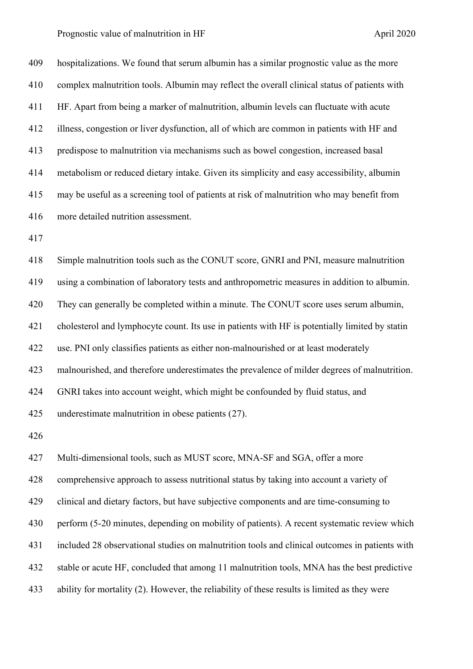hospitalizations. We found that serum albumin has a similar prognostic value as the more complex malnutrition tools. Albumin may reflect the overall clinical status of patients with HF. Apart from being a marker of malnutrition, albumin levels can fluctuate with acute illness, congestion or liver dysfunction, all of which are common in patients with HF and predispose to malnutrition via mechanisms such as bowel congestion, increased basal metabolism or reduced dietary intake. Given its simplicity and easy accessibility, albumin may be useful as a screening tool of patients at risk of malnutrition who may benefit from more detailed nutrition assessment.

 Simple malnutrition tools such as the CONUT score, GNRI and PNI, measure malnutrition using a combination of laboratory tests and anthropometric measures in addition to albumin. They can generally be completed within a minute. The CONUT score uses serum albumin, cholesterol and lymphocyte count. Its use in patients with HF is potentially limited by statin use. PNI only classifies patients as either non-malnourished or at least moderately malnourished, and therefore underestimates the prevalence of milder degrees of malnutrition. GNRI takes into account weight, which might be confounded by fluid status, and underestimate malnutrition in obese patients ([27](#page-33-4)). 

 Multi-dimensional tools, such as MUST score, MNA-SF and SGA, offer a more comprehensive approach to assess nutritional status by taking into account a variety of clinical and dietary factors, but have subjective components and are time-consuming to perform (5-20 minutes, depending on mobility of patients). A recent systematic review which included 28 observational studies on malnutrition tools and clinical outcomes in patients with stable or acute HF, concluded that among 11 malnutrition tools, MNA has the best predictive ability for mortality (2). However, the reliability of these results is limited as they were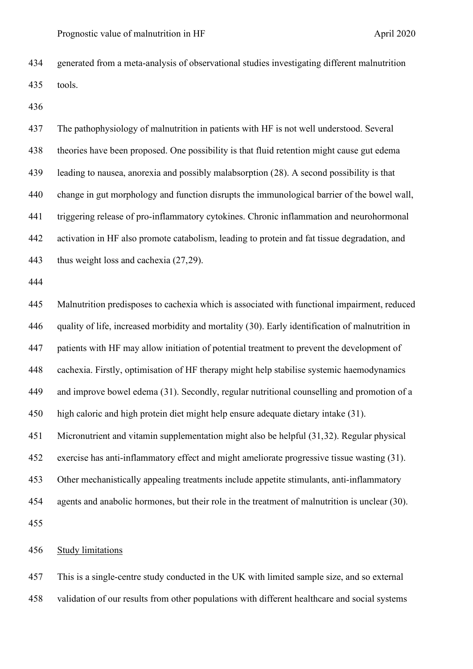generated from a meta-analysis of observational studies investigating different malnutrition tools.

 The pathophysiology of malnutrition in patients with HF is not well understood. Several theories have been proposed. One possibility is that fluid retention might cause gut edema leading to nausea, anorexia and possibly malabsorption ([28](#page-33-5)). A second possibility is that change in gut morphology and function disrupts the immunological barrier of the bowel wall, triggering release of pro-inflammatory cytokines. Chronic inflammation and neurohormonal activation in HF also promote catabolism, leading to protein and fat tissue degradation, and thus weight loss and cachexia (27,[29](#page-33-6)).

 Malnutrition predisposes to cachexia which is associated with functional impairment, reduced quality of life, increased morbidity and mortality ([30\)](#page-33-7). Early identification of malnutrition in patients with HF may allow initiation of potential treatment to prevent the development of cachexia. Firstly, optimisation of HF therapy might help stabilise systemic haemodynamics and improve bowel edema ([31\)](#page-33-8). Secondly, regular nutritional counselling and promotion of a high caloric and high protein diet might help ensure adequate dietary intake (31). Micronutrient and vitamin supplementation might also be helpful (31,[32](#page-33-0)). Regular physical exercise has anti-inflammatory effect and might ameliorate progressive tissue wasting (31). Other mechanistically appealing treatments include appetite stimulants, anti-inflammatory agents and anabolic hormones, but their role in the treatment of malnutrition is unclear (30). 

Study limitations

 This is a single-centre study conducted in the UK with limited sample size, and so external validation of our results from other populations with different healthcare and social systems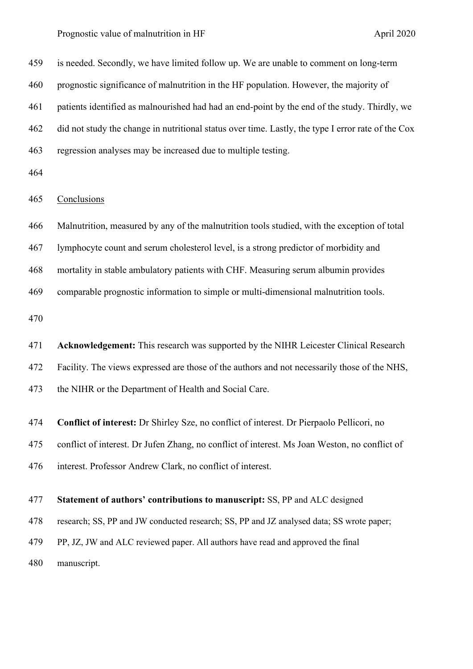Prognostic value of malnutrition in HF April 2020

 is needed. Secondly, we have limited follow up. We are unable to comment on long-term prognostic significance of malnutrition in the HF population. However, the majority of patients identified as malnourished had had an end-point by the end of the study. Thirdly, we did not study the change in nutritional status over time. Lastly, the type I error rate of the Cox regression analyses may be increased due to multiple testing.

### Conclusions

Malnutrition, measured by any of the malnutrition tools studied, with the exception of total

lymphocyte count and serum cholesterol level, is a strong predictor of morbidity and

mortality in stable ambulatory patients with CHF. Measuring serum albumin provides

comparable prognostic information to simple or multi-dimensional malnutrition tools.

 **Acknowledgement:** This research was supported by the NIHR Leicester Clinical Research Facility. The views expressed are those of the authors and not necessarily those of the NHS, the NIHR or the Department of Health and Social Care.

**Conflict of interest:** Dr Shirley Sze, no conflict of interest. Dr Pierpaolo Pellicori, no

conflict of interest. Dr Jufen Zhang, no conflict of interest. Ms Joan Weston, no conflict of

interest. Professor Andrew Clark, no conflict of interest.

### **Statement of authors' contributions to manuscript:** SS, PP and ALC designed

research; SS, PP and JW conducted research; SS, PP and JZ analysed data; SS wrote paper;

PP, JZ, JW and ALC reviewed paper. All authors have read and approved the final

manuscript.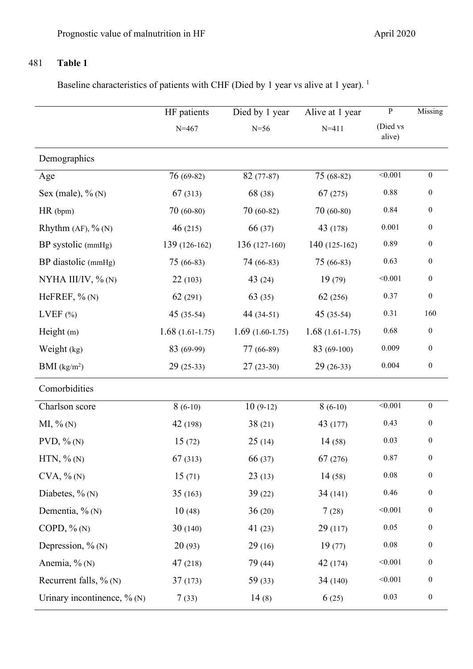# 481 **Table 1**

Baseline characteristics of patients with CHF (Died by 1 year vs alive at 1 year).<sup>1</sup>

|                                | HF patients       | Died by 1 year    | Alive at 1 year   | ${\bf P}$          | Missing          |
|--------------------------------|-------------------|-------------------|-------------------|--------------------|------------------|
|                                | $N = 467$         | $N=56$            | $N = 411$         | (Died vs<br>alive) |                  |
| Demographics                   |                   |                   |                   |                    |                  |
| Age                            | $76(69-82)$       | $82(77-87)$       | $75(68-82)$       | < 0.001            | $\boldsymbol{0}$ |
| Sex (male), $\%$ (N)           | 67(313)           | 68 (38)           | 67(275)           | 0.88               | $\boldsymbol{0}$ |
| $HR$ (bpm)                     | $70(60-80)$       | $70(60-82)$       | $70(60-80)$       | 0.84               | $\boldsymbol{0}$ |
| Rhythm $(AF)$ , % $(N)$        | 46(215)           | 66 (37)           | 43 (178)          | $0.001\,$          | $\boldsymbol{0}$ |
| BP systolic (mmHg)             | 139 (126-162)     | $136(127-160)$    | 140 (125-162)     | 0.89               | $\boldsymbol{0}$ |
| BP diastolic (mmHg)            | 75 (66-83)        | 74 (66-83)        | 75 (66-83)        | 0.63               | $\boldsymbol{0}$ |
| NYHA III/IV, % (N)             | 22(103)           | 43 $(24)$         | 19(79)            | < 0.001            | $\boldsymbol{0}$ |
| HeFREF, $\%$ (N)               | 62(291)           | 63(35)            | 62 (256)          | 0.37               | $\boldsymbol{0}$ |
| LVEF $(\% )$                   | $45(35-54)$       | 44 (34-51)        | $45(35-54)$       | 0.31               | 160              |
| Height $(m)$                   | $1.68(1.61-1.75)$ | $1.69(1.60-1.75)$ | $1.68(1.61-1.75)$ | 0.68               | $\boldsymbol{0}$ |
| Weight (kg)                    | 83 (69-99)        | 77 (66-89)        | 83 (69-100)       | 0.009              | $\boldsymbol{0}$ |
| BMI (kg/m <sup>2</sup> )       | $29(25-33)$       | $27(23-30)$       | $29(26-33)$       | 0.004              | $\boldsymbol{0}$ |
| Comorbidities                  |                   |                   |                   |                    |                  |
| Charlson score                 | $8(6-10)$         | $10(9-12)$        | $8(6-10)$         | < 0.001            | $\boldsymbol{0}$ |
| $MI, \% (N)$                   | 42 (198)          | 38(21)            | 43 (177)          | 0.43               | $\boldsymbol{0}$ |
| $PVD, \% (N)$                  | 15(72)            | 25(14)            | 14(58)            | 0.03               | $\boldsymbol{0}$ |
| $HTN, %$ (N)                   | 67(313)           | 66 (37)           | 67 (276)          | 0.87               | $\boldsymbol{0}$ |
| $CVA$ , % $(N)$                | 15(71)            | 23(13)            | 14(58)            | $0.08\,$           | $\boldsymbol{0}$ |
| Diabetes, $\%$ (N)             | 35(163)           | 39(22)            | 34(141)           | 0.46               | $\boldsymbol{0}$ |
| Dementia, $\%$ (N)             | 10(48)            | 36(20)            | 7(28)             | < 0.001            | $\boldsymbol{0}$ |
| COPD, $\%$ (N)                 | 30(140)           | 41 $(23)$         | 29(117)           | $0.05\,$           | $\boldsymbol{0}$ |
| Depression, $\%$ (N)           | 20(93)            | 29(16)            | 19(77)            | $0.08\,$           | $\boldsymbol{0}$ |
| Anemia, $\%$ (N)               | 47(218)           | 79 (44)           | 42 (174)          | < 0.001            | $\boldsymbol{0}$ |
| Recurrent falls, $\%$ (N)      | 37(173)           | 59(33)            | 34(140)           | < 0.001            | $\boldsymbol{0}$ |
| Urinary incontinence, $\%$ (N) | 7(33)             | 14(8)             | 6(25)             | 0.03               | $\boldsymbol{0}$ |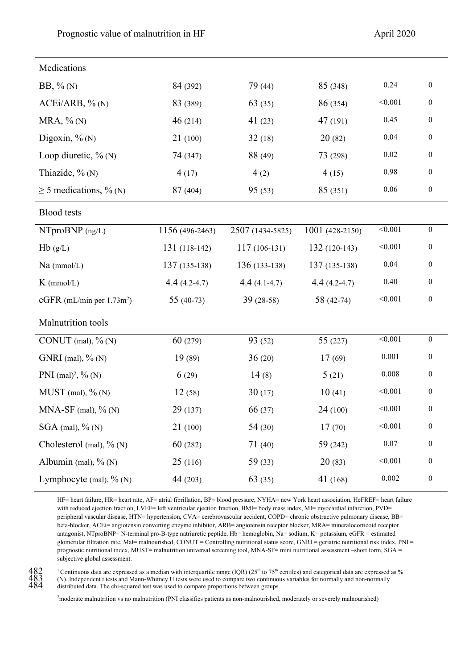| Medications                  |                 |                  |                 |          |                  |  |
|------------------------------|-----------------|------------------|-----------------|----------|------------------|--|
| $BB, \% (N)$                 | 84 (392)        | 79 (44)          | 85 (348)        | 0.24     | $\boldsymbol{0}$ |  |
| ACEi/ARB, % (N)              | 83 (389)        | 63(35)           | 86 (354)        | < 0.001  | $\boldsymbol{0}$ |  |
| $MRA, \% (N)$                | 46(214)         | 41(23)           | 47 (191)        | 0.45     | $\boldsymbol{0}$ |  |
| Digoxin, $\%$ (N)            | 21(100)         | 32(18)           | 20(82)          | 0.04     | $\boldsymbol{0}$ |  |
| Loop diuretic, $\%$ (N)      | 74 (347)        | 88 (49)          | 73 (298)        | $0.02\,$ | $\boldsymbol{0}$ |  |
| Thiazide, $\%$ (N)           | 4(17)           | 4(2)             | 4(15)           | 0.98     | $\boldsymbol{0}$ |  |
| $\geq$ 5 medications, % (N)  | 87 (404)        | 95(53)           | 85 (351)        | $0.06\,$ | $\boldsymbol{0}$ |  |
| <b>Blood</b> tests           |                 |                  |                 |          |                  |  |
| $N$ Tpro $BNP$ (ng/L)        | 1156 (496-2463) | 2507 (1434-5825) | 1001 (428-2150) | < 0.001  | $\boldsymbol{0}$ |  |
| Hb(g/L)                      | 131 (118-142)   | $117(106-131)$   | $132(120-143)$  | < 0.001  | $\boldsymbol{0}$ |  |
| $Na$ (mmol/L)                | 137 (135-138)   | $136(133-138)$   | $137(135-138)$  | 0.04     | $\boldsymbol{0}$ |  |
| $K$ (mmol/L)                 | $4.4(4.2-4.7)$  | $4.4(4.1-4.7)$   | $4.4(4.2-4.7)$  | 0.40     | $\boldsymbol{0}$ |  |
| eGFR (mL/min per $1.73m^2$ ) | $55(40-73)$     | $39(28-58)$      | 58 (42-74)      | < 0.001  | $\boldsymbol{0}$ |  |
| Malnutrition tools           |                 |                  |                 |          |                  |  |
| CONUT (mal), $\%$ (N)        | 60(279)         | 93 (52)          | 55(227)         | < 0.001  | $\boldsymbol{0}$ |  |
| GNRI (mal), $\%$ (N)         | 19(89)          | 36(20)           | 17(69)          | 0.001    | $\boldsymbol{0}$ |  |
| PNI $(mal)^2$ , % (N)        | 6(29)           | 14(8)            | 5(21)           | 0.008    | $\boldsymbol{0}$ |  |
| $MUST$ (mal), $\%$ (N)       | 12(58)          | 30(17)           | 10(41)          | < 0.001  | $\boldsymbol{0}$ |  |
| MNA-SF (mal), $\%$ (N)       | 29 (137)        | 66 (37)          | 24 (100)        | < 0.001  | $\boldsymbol{0}$ |  |
| $SGA$ (mal), $\%$ (N)        | 21(100)         | 54(30)           | 17(70)          | < 0.001  | $\boldsymbol{0}$ |  |
| Cholesterol (mal), $\%$ (N)  | 60(282)         | 71(40)           | 59 (242)        | $0.07\,$ | $\boldsymbol{0}$ |  |
| Albumin (mal), $\%$ (N)      | 25(116)         | 59 (33)          | 20(83)          | < 0.001  | $\boldsymbol{0}$ |  |
| Lymphocyte (mal), $\%$ (N)   | 44 (203)        | 63(35)           | 41 (168)        | 0.002    | $\boldsymbol{0}$ |  |

HF= heart failure, HR= heart rate, AF= atrial fibrillation, BP= blood pressure, NYHA= new York heart association, HeFREF= heart failure with reduced ejection fraction, LVEF= left ventricular ejection fraction, BMI= body mass index, MI= myocardial infarction, PVD= peripheral vascular disease, HTN= hypertension, CVA= cerebrovascular accident, COPD= chronic obstructive pulmonary disease, BB= beta-blocker, ACEi= angiotensin converting enzyme inhibitor, ARB= angiotensin receptor blocker, MRA= mineralocorticoid receptor antagonist, NTproBNP= N-terminal pro-B-type natriuretic peptide, Hb= hemoglobin, Na= sodium, K= potassium, eGFR = estimated glomerular filtration rate, Mal= malnourished, CONUT = Controlling nutritional status score, GNRI = geriatric nutritional risk index, PNI = prognostic nutritional index, MUST= malnutrition universal screening tool, MNA-SF= mini nutritional assessment –short form, SGA = subjective global assessment.

482 <sup>1</sup> Continuous data are expressed as a median with interquartile range (IQR) (25<sup>th</sup> to 75<sup>th</sup> centiles) and categorical data are expressed as %<br>483 (N). Independent t tests and Mann-Whitney U tests were used to compa 483 (N). Independent t tests and Mann-Whitney U tests were used to compare two continuous variables for normally and non-normally distributed data. The chi-squared test was used to compare proportions between groups.

2 moderate malnutrition vs no malnutrition (PNI classifies patients as non-malnourished, moderately or severely malnourished)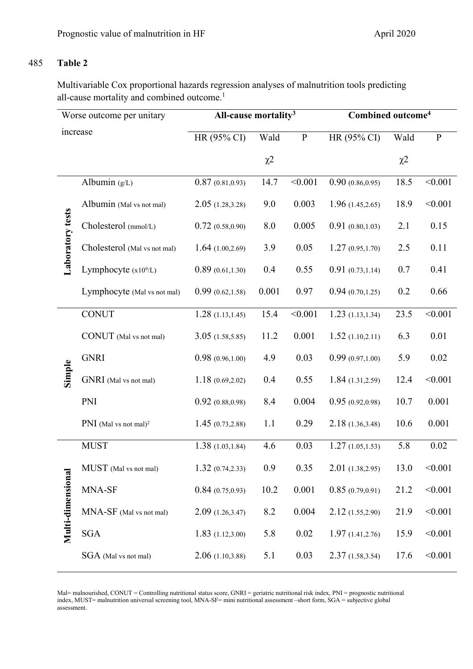### 485 **Table 2**

Multivariable Cox proportional hazards regression analyses of malnutrition tools predicting all-cause mortality and combined outcome.<sup>1</sup>

| Worse outcome per unitary |                                   | All-cause mortality <sup>3</sup> |          |              | Combined outcome <sup>4</sup> |          |           |
|---------------------------|-----------------------------------|----------------------------------|----------|--------------|-------------------------------|----------|-----------|
| increase                  |                                   | HR (95% CI)                      | Wald     | $\, {\bf p}$ | HR (95% CI)                   | Wald     | ${\bf P}$ |
|                           |                                   |                                  | $\chi^2$ |              |                               | $\chi^2$ |           |
|                           | Albumin $(g/L)$                   | 0.87(0.81, 0.93)                 | 14.7     | < 0.001      | 0.90(0.86, 0.95)              | 18.5     | < 0.001   |
|                           | Albumin (Mal vs not mal)          | 2.05(1.28, 3.28)                 | 9.0      | 0.003        | 1.96(1.45,2.65)               | 18.9     | < 0.001   |
| Laboratory tests          | Cholesterol (mmol/L)              | 0.72(0.58,0.90)                  | 8.0      | 0.005        | 0.91(0.80, 1.03)              | 2.1      | 0.15      |
|                           | Cholesterol (Mal vs not mal)      | 1.64(1.00, 2.69)                 | 3.9      | 0.05         | 1.27(0.95, 1.70)              | 2.5      | 0.11      |
|                           | Lymphocyte $(x10^9/L)$            | 0.89(0.61, 1.30)                 | 0.4      | 0.55         | 0.91(0.73, 1.14)              | 0.7      | 0.41      |
|                           | Lymphocyte (Mal vs not mal)       | 0.99(0.62, 1.58)                 | 0.001    | 0.97         | 0.94(0.70, 1.25)              | 0.2      | 0.66      |
|                           | <b>CONUT</b>                      | 1.28(1.13, 1.45)                 | 15.4     | < 0.001      | 1.23(1.13, 1.34)              | 23.5     | < 0.001   |
|                           | CONUT (Mal vs not mal)            | 3.05(1.58, 5.85)                 | 11.2     | 0.001        | 1.52(1.10,2.11)               | 6.3      | 0.01      |
|                           | <b>GNRI</b>                       | 0.98(0.96, 1.00)                 | 4.9      | 0.03         | 0.99(0.97, 1.00)              | 5.9      | 0.02      |
| Simple                    | GNRI (Mal vs not mal)             | 1.18(0.69, 2.02)                 | 0.4      | 0.55         | 1.84(1.31,2.59)               | 12.4     | < 0.001   |
|                           | PNI                               | 0.92(0.88, 0.98)                 | 8.4      | 0.004        | 0.95(0.92, 0.98)              | 10.7     | 0.001     |
|                           | PNI (Mal vs not mal) <sup>2</sup> | 1.45(0.73, 2.88)                 | 1.1      | 0.29         | 2.18(1.36,3.48)               | 10.6     | 0.001     |
|                           | <b>MUST</b>                       | 1.38(1.03, 1.84)                 | 4.6      | 0.03         | 1.27(1.05, 1.53)              | 5.8      | 0.02      |
|                           | MUST (Mal vs not mal)             | 1.32(0.74, 2.33)                 | 0.9      | 0.35         | 2.01(1.38,2.95)               | 13.0     | < 0.001   |
| Multi-dimensional         | MNA-SF                            | 0.84(0.75,0.93)                  | 10.2     | 0.001        | 0.85(0.79, 0.91)              | 21.2     | < 0.001   |
|                           | MNA-SF (Mal vs not mal)           | 2.09(1.26, 3.47)                 | 8.2      | 0.004        | 2.12(1.55,2.90)               | 21.9     | < 0.001   |
|                           | <b>SGA</b>                        | 1.83(1.12,3.00)                  | 5.8      | 0.02         | 1.97(1.41, 2.76)              | 15.9     | < 0.001   |
|                           | SGA (Mal vs not mal)              | 2.06(1.10, 3.88)                 | 5.1      | 0.03         | 2.37(1.58, 3.54)              | 17.6     | < 0.001   |

Mal= malnourished, CONUT = Controlling nutritional status score, GNRI = geriatric nutritional risk index, PNI = prognostic nutritional index, MUST= malnutrition universal screening tool, MNA-SF= mini nutritional assessment –short form, SGA = subjective global assessment.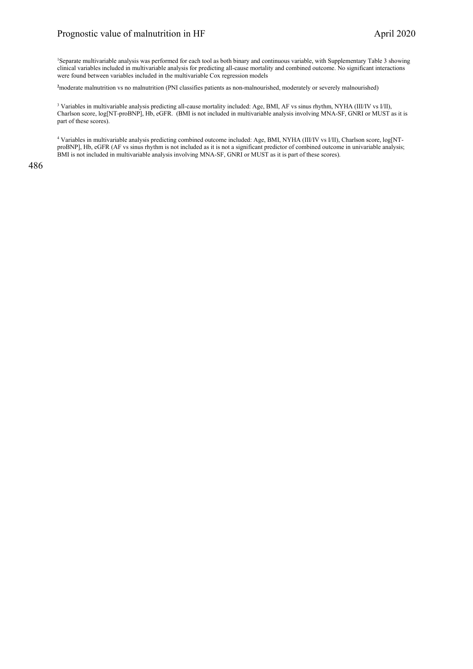1 Separate multivariable analysis was performed for each tool as both binary and continuous variable, with Supplementary Table 3 showing clinical variables included in multivariable analysis for predicting all-cause mortality and combined outcome. No significant interactions were found between variables included in the multivariable Cox regression models

**2** moderate malnutrition vs no malnutrition (PNI classifies patients as non-malnourished, moderately or severely malnourished)

<sup>3</sup> Variables in multivariable analysis predicting all-cause mortality included: Age, BMI, AF vs sinus rhythm, NYHA (III/IV vs I/II), Charlson score, log[NT-proBNP], Hb, eGFR. (BMI is not included in multivariable analysis involving MNA-SF, GNRI or MUST as it is part of these scores).

<sup>4</sup> Variables in multivariable analysis predicting combined outcome included: Age, BMI, NYHA (III/IV vs I/II), Charlson score, log[NTproBNP], Hb, eGFR (AF vs sinus rhythm is not included as it is not a significant predictor of combined outcome in univariable analysis; BMI is not included in multivariable analysis involving MNA-SF, GNRI or MUST as it is part of these scores).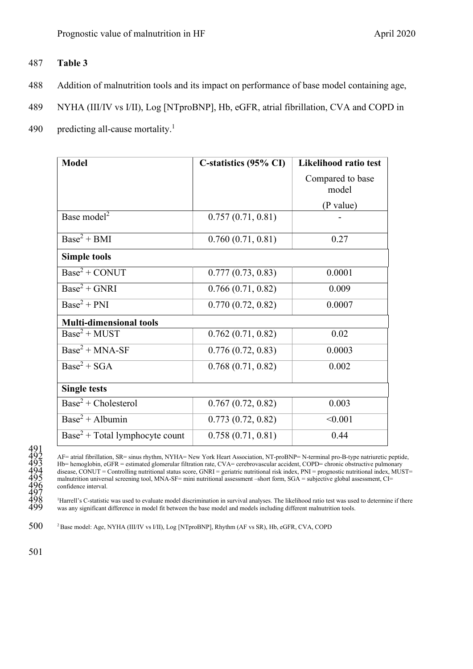### 487 **Table 3**

- 488 Addition of malnutrition tools and its impact on performance of base model containing age,
- 489 NYHA (III/IV vs I/II), Log [NTproBNP], Hb, eGFR, atrial fibrillation, CVA and COPD in
- 490 predicting all-cause mortality.<sup>1</sup>

| <b>Model</b>                               | C-statistics (95% CI) | Likelihood ratio test     |
|--------------------------------------------|-----------------------|---------------------------|
|                                            |                       | Compared to base<br>model |
|                                            |                       | (P value)                 |
| Base model <sup>2</sup>                    | 0.757(0.71, 0.81)     |                           |
| $Base2 + BMI$                              | 0.760(0.71, 0.81)     | 0.27                      |
| <b>Simple tools</b>                        |                       |                           |
| $Base2 + CONUT$                            | 0.777(0.73, 0.83)     | 0.0001                    |
| $Base2 + GNRI$                             | 0.766(0.71, 0.82)     | 0.009                     |
| $Base2 + PNI$                              | 0.770(0.72, 0.82)     | 0.0007                    |
| <b>Multi-dimensional tools</b>             |                       |                           |
| $Base^2 + MUST$                            | 0.762(0.71, 0.82)     | 0.02                      |
| $\overline{\text{Base}^2 + \text{MNA-SF}}$ | 0.776(0.72, 0.83)     | 0.0003                    |
| $Base^2 + SGA$                             | 0.768(0.71, 0.82)     | 0.002                     |
| <b>Single tests</b>                        |                       |                           |
| $Base2 + Choice$                           | 0.767(0.72, 0.82)     | 0.003                     |
| $Base2 + Albumin$                          | 0.773(0.72, 0.82)     | < 0.001                   |
| $Base2 + Total lymphocyte count$           | 0.758(0.71, 0.81)     | 0.44                      |

492 AF= atrial fibrillation, SR= sinus rhythm, NYHA= New York Heart Association, NT-proBNP= N-terminal pro-B-type natriuretic peptide, 493 Hb= hemoglobin, eGFR = estimated glomerular filtration rate, CVA= cerebrovascular accident, COPD= chronic obstructive pulmonary disease, CONUT = Controlling nutritional status score, GNRI = geriatric nutritional risk index, PNI = prognostic nutritional index, MUST= malnutrition universal screening tool, MNA-SF= mini nutritional assessment –short form, SGA = subjective global assessment, CI= confidence interval.

<sup>1</sup>Harrell's C-statistic was used to evaluate model discrimination in survival analyses. The likelihood ratio test was used to determine if there was any significant difference in model fit between the base model and models including different malnutrition tools.

500 <sup>2</sup> Base model: Age, NYHA (III/IV vs I/II), Log [NTproBNP], Rhythm (AF vs SR), Hb, eGFR, CVA, COPD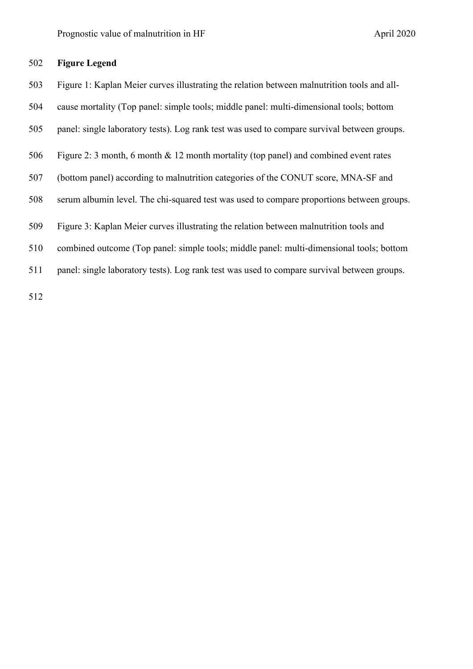### **Figure Legend**

- Figure 1: Kaplan Meier curves illustrating the relation between malnutrition tools and all-
- cause mortality (Top panel: simple tools; middle panel: multi-dimensional tools; bottom
- panel: single laboratory tests). Log rank test was used to compare survival between groups.
- Figure 2: 3 month, 6 month & 12 month mortality (top panel) and combined event rates
- (bottom panel) according to malnutrition categories of the CONUT score, MNA-SF and
- serum albumin level. The chi-squared test was used to compare proportions between groups.
- Figure 3: Kaplan Meier curves illustrating the relation between malnutrition tools and
- combined outcome (Top panel: simple tools; middle panel: multi-dimensional tools; bottom
- panel: single laboratory tests). Log rank test was used to compare survival between groups.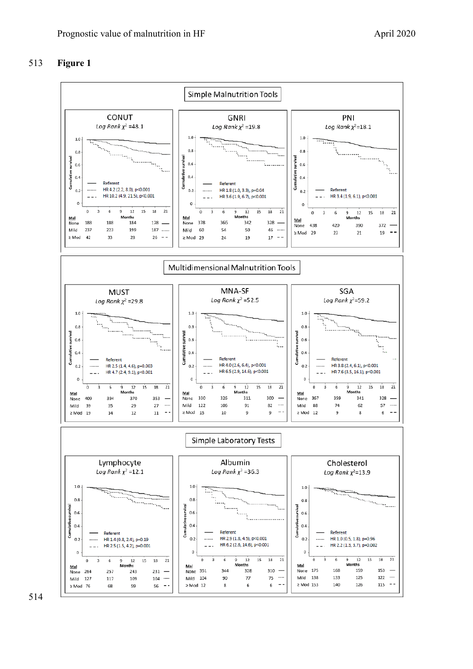### **Figure 1**

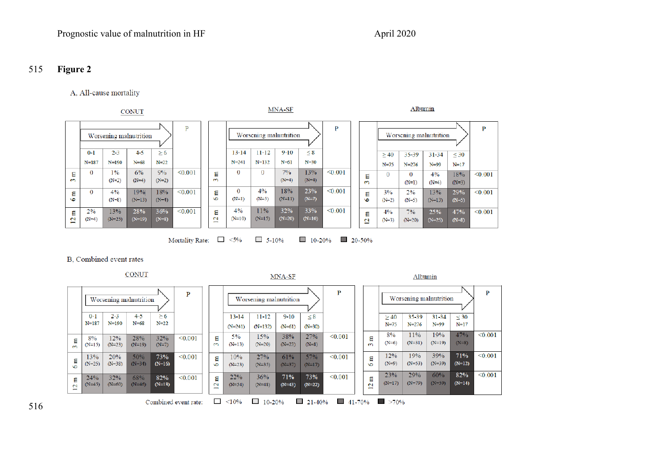### 515 **Figure 2**

### A, All-cause mortality

|                           |               |                 | <b>CONUT</b>           |                |         |                                               |                     |                        | MNA-SF          |                 |         |                        |               | Albumin        |                        |                |         |
|---------------------------|---------------|-----------------|------------------------|----------------|---------|-----------------------------------------------|---------------------|------------------------|-----------------|-----------------|---------|------------------------|---------------|----------------|------------------------|----------------|---------|
|                           |               |                 | Worsening malnutrition |                | D       |                                               |                     | Worsening malnutrition |                 |                 | D       |                        |               |                | Worsening malnutrition |                | P       |
|                           | $0-1$         | $2 - 3$         | $4 - 5$                | $\geq 6$       |         |                                               | $13 - 14$           | $11 - 12$              | $9 - 10$        | < 8             |         |                        | $\geq 40$     | $35 - 39$      | $31 - 34$              | $<$ 30         |         |
|                           | $N = 187$     | $N = 190$       | $N = 68$               | $N = 22$       |         |                                               | $N = 241$           | $N = 132$              | $N=61$          | $N = 30$        |         |                        | $N = 75$      | $N = 276$      | $N=99$                 | $N=17$         |         |
| 묩<br>$\sim$               | 0             | 1%<br>$(N=2)$   | 6%<br>$(N=4)$          | 9%<br>$(N=2)$  | < 0.001 | а<br>$\epsilon$                               | 0                   | O                      | 7%<br>$(N=4)$   | 13%<br>$(N=4)$  | < 0.001 | Ξ<br>m                 | 0             | 0<br>$(N=1)$   | 4%<br>$(N=4)$          | 18%<br>$(N=3)$ | < 0.001 |
| ε<br><b>SC</b>            | 0             | 4%<br>$(N=8)$   | 19%<br>$(N=13)$        | 18%<br>$(N=4)$ | < 0.001 | ε<br>$\circ$                                  | $\Omega$<br>$(N=1)$ | 4%<br>$(N=5)$          | 18%<br>$(N=11)$ | 23%<br>$(N=7)$  | < 0.001 | ε<br>$\bullet$         | 3%<br>$(N=2)$ | 2%<br>$(N=5)$  | 13%<br>$(N=13)$        | 29%<br>$(N=5)$ | < 0.001 |
| Ε<br>$\mathbf{\tilde{c}}$ | 2%<br>$(N=4)$ | 13%<br>$(N=25)$ | 28%<br>$(N=19)$        | 36%<br>$(N=8)$ | < 0.001 | Ε<br>$\mathbf{C}$<br>$\overline{\phantom{0}}$ | 4%<br>$(N=10)$      | 11%<br>$(N=15)$        | 32%<br>$(N=20)$ | 33%<br>$(N=10)$ | < 0.001 | Ξ<br>$\mathbf{a}$<br>≕ | 4%<br>$(N=3)$ | 7%<br>$(N=20)$ | 25%<br>$(N=25)$        | 47%<br>$(N=8)$ | < 0.001 |

$$
\text{Mortality Rate:} \quad \Box \quad \texttt{<5\%} \qquad \Box \quad \texttt{5-10\%} \qquad \Box \quad \texttt{10-20\%} \qquad \Box \quad \texttt{20-50\%}
$$

#### B, Combined event rates

MNA-SF Albumin  $\, {\bf P}$  $\mathbf{P}$  $\mathbf{P}$ Worsening malnutrition Worsening malnutrition Worsening malnutrition  $11 - 12$  $0 - 1$  $2 - 3$  $4 - 5$  $\geq 6$  $13 - 14$  $9 - 10$  $\leq 8$ 35-39  $31 - 34$  $\leq 30$  $\geq$  40  $N = 187$  $N=190$  $N=68$  $N = 22$  $N=75$  $N = 276$  $N=99$  $N=17$  $(N=241)$  $(N=132)$  $(N=61)$  $(N=30)$  $< 0.001$  $8%$ 11% 19% 47% 15% 38% 27%  $\overline{0.001}$  $\frac{28\%}{N=19}$  $5%$ 12% 32%  $< 0.001$  $3 \text{ m}$  $3 \text{ m}$  $8%$  $3m$  $(N=8)$  $(N=6)$  $(N=31)$  $(N=19)$  $(N=15)$  $(N=23)$  $(N=7)$  $(N=13)$  $(N=20)$  $(N=23)$  $(N=8)$ 39% 71%  $\overline{0.001}$  $27%$ 12% 19% 13% 20% 50% 73%  $< 0.001$  $6m$  $10%$ 61% 57%  $< 0.001$  $6m$  $6<sub>m</sub>$  $(N=34)$  $(N=16)$  $(N=53)$  $(N=39)$  $(N=12)$  $(N=25)$  $(N=38)$  $(N=9)$  $(N=23)$  $(N=35)$  $(N=37)$  $(N=17)$ 23% 29%  $60%$ 82%  $< 0.001$  $32\%$ <br>(N=60) 71% 73%  $< 0.001$ 24% 68%  $82\%$ <br>(N=18)  $< 0.001$  $12 m$  $22%$  $36%$  $12 m$  $12 m$  $(N=22)$  $(N=17)$  $(N=79)$  $(N=59)$  $(N=14)$  $(N=45)$  $(N=46)$  $(N=54)$  $(N=48)$  $(N=43)$  $\Box$  <10%  $10-20%$  $\Box$  21-40%  $\blacksquare$  41-70%  $\blacksquare$  >70% Combined event rate: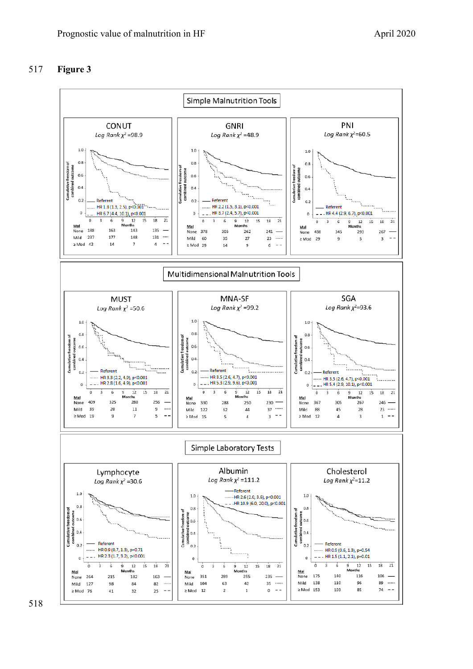## **Figure 3**

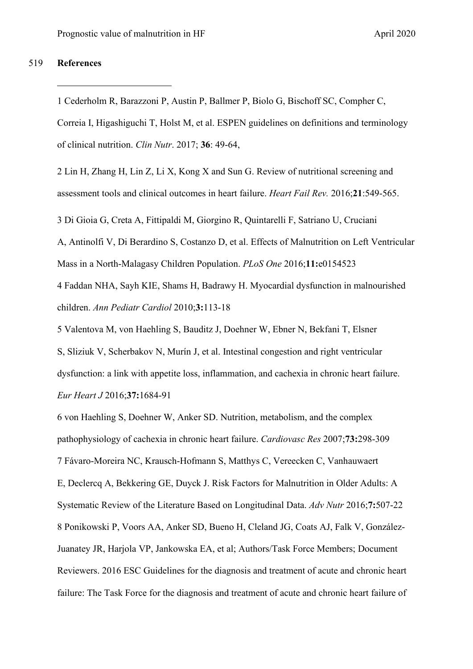### 519 **References**

1 Cederholm R, Barazzoni P, Austin P, Ballmer P, Biolo G, Bischoff SC, Compher C, Correia I, Higashiguchi T, Holst M, et al. ESPEN guidelines on definitions and terminology of clinical nutrition. *Clin Nutr*. 2017; **36**: 49-64,

2 Lin H, Zhang H, Lin Z, Li X, Kong X and Sun G. Review of nutritional screening and assessment tools and clinical outcomes in heart failure. *Heart Fail Rev.* 2016;**21**:549-565.

3 Di Gioia G, Creta A, Fittipaldi M, [Giorgino R,](https://www.ncbi.nlm.nih.gov/pubmed/?term=Giorgino%20R%5BAuthor%5D&cauthor=true&cauthor_uid=27140179) [Quintarelli F,](https://www.ncbi.nlm.nih.gov/pubmed/?term=Quintarelli%20F%5BAuthor%5D&cauthor=true&cauthor_uid=27140179) [Satriano U,](https://www.ncbi.nlm.nih.gov/pubmed/?term=Satriano%20U%5BAuthor%5D&cauthor=true&cauthor_uid=27140179) [Cruciani](https://www.ncbi.nlm.nih.gov/pubmed/?term=Cruciani%20A%5BAuthor%5D&cauthor=true&cauthor_uid=27140179) 

[A,](https://www.ncbi.nlm.nih.gov/pubmed/?term=Cruciani%20A%5BAuthor%5D&cauthor=true&cauthor_uid=27140179) [Antinolfi V,](https://www.ncbi.nlm.nih.gov/pubmed/?term=Antinolfi%20V%5BAuthor%5D&cauthor=true&cauthor_uid=27140179) [Di Berardino S,](https://www.ncbi.nlm.nih.gov/pubmed/?term=Di%20Berardino%20S%5BAuthor%5D&cauthor=true&cauthor_uid=27140179) [Costanzo D,](https://www.ncbi.nlm.nih.gov/pubmed/?term=Costanzo%20D%5BAuthor%5D&cauthor=true&cauthor_uid=27140179) et al. Effects of Malnutrition on Left Ventricular Mass in a North-Malagasy Children Population. *PLoS One* 2016;**11:**e0154523

4 Faddan NHA, Sayh KIE, Shams H, Badrawy H. Myocardial dysfunction in malnourished children. *Ann Pediatr Cardiol* 2010;**3:**113-18

5 Valentova M, von Haehling S, Bauditz J, [Doehner W,](https://www.ncbi.nlm.nih.gov/pubmed/?term=Doehner%20W%5BAuthor%5D&cauthor=true&cauthor_uid=26865478) [Ebner N,](https://www.ncbi.nlm.nih.gov/pubmed/?term=Ebner%20N%5BAuthor%5D&cauthor=true&cauthor_uid=26865478) [Bekfani T,](https://www.ncbi.nlm.nih.gov/pubmed/?term=Bekfani%20T%5BAuthor%5D&cauthor=true&cauthor_uid=26865478) [Elsner](https://www.ncbi.nlm.nih.gov/pubmed/?term=Elsner%20S%5BAuthor%5D&cauthor=true&cauthor_uid=26865478)  [S,](https://www.ncbi.nlm.nih.gov/pubmed/?term=Elsner%20S%5BAuthor%5D&cauthor=true&cauthor_uid=26865478) [Sliziuk V,](https://www.ncbi.nlm.nih.gov/pubmed/?term=Sliziuk%20V%5BAuthor%5D&cauthor=true&cauthor_uid=26865478) [Scherbakov N,](https://www.ncbi.nlm.nih.gov/pubmed/?term=Scherbakov%20N%5BAuthor%5D&cauthor=true&cauthor_uid=26865478) [Murín J,](https://www.ncbi.nlm.nih.gov/pubmed/?term=Mur%C3%ADn%20J%5BAuthor%5D&cauthor=true&cauthor_uid=26865478) et al. Intestinal congestion and right ventricular dysfunction: a link with appetite loss, inflammation, and cachexia in chronic heart failure. *Eur Heart J* 2016;**37:**1684-91

6 von Haehling S, Doehner W, Anker SD. Nutrition, metabolism, and the complex pathophysiology of cachexia in chronic heart failure. *Cardiovasc Res* 2007;**73:**298-309 7 Fávaro-Moreira NC, Krausch-Hofmann S, Matthys C, [Vereecken C,](https://www.ncbi.nlm.nih.gov/pubmed/?term=Vereecken%20C%5BAuthor%5D&cauthor=true&cauthor_uid=27184278) [Vanhauwaert](https://www.ncbi.nlm.nih.gov/pubmed/?term=Vanhauwaert%20E%5BAuthor%5D&cauthor=true&cauthor_uid=27184278)  [E,](https://www.ncbi.nlm.nih.gov/pubmed/?term=Vanhauwaert%20E%5BAuthor%5D&cauthor=true&cauthor_uid=27184278) [Declercq A,](https://www.ncbi.nlm.nih.gov/pubmed/?term=Declercq%20A%5BAuthor%5D&cauthor=true&cauthor_uid=27184278) [Bekkering GE,](https://www.ncbi.nlm.nih.gov/pubmed/?term=Bekkering%20GE%5BAuthor%5D&cauthor=true&cauthor_uid=27184278) [Duyck J.](https://www.ncbi.nlm.nih.gov/pubmed/?term=Duyck%20J%5BAuthor%5D&cauthor=true&cauthor_uid=27184278) Risk Factors for Malnutrition in Older Adults: A Systematic Review of the Literature Based on Longitudinal Data. *Adv Nutr* 2016;**7:**507-22 8 Ponikowski P, Voors AA, Anker SD, Bueno H, Cleland JG, Coats AJ, Falk V, González-Juanatey JR, Harjola VP, Jankowska EA, et al; Authors/Task Force Members; Document Reviewers. 2016 ESC Guidelines for the diagnosis and treatment of acute and chronic heart failure: The Task Force for the diagnosis and treatment of acute and chronic heart failure of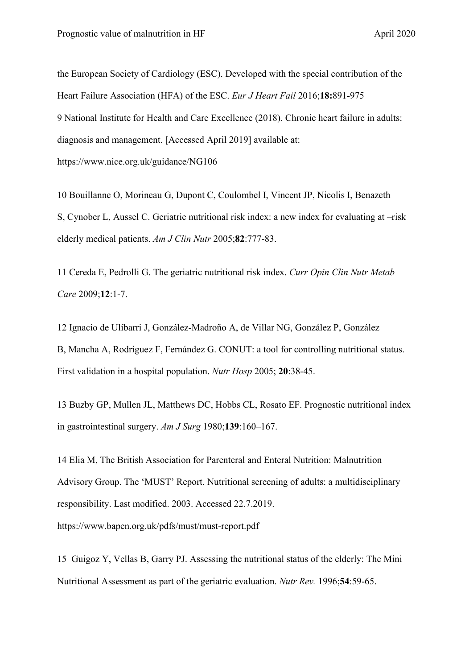<span id="page-30-0"></span>the European Society of Cardiology (ESC). Developed with the special contribution of the Heart Failure Association (HFA) of the ESC. *Eur J Heart Fail* 2016;**18:**891-975 9 National Institute for Health and Care Excellence (2018). Chronic heart failure in adults: diagnosis and management. [Accessed April 2019] available at: https://www.nice.org.uk/guidance/NG106

<span id="page-30-2"></span><span id="page-30-1"></span>10 Bouillanne O, Morineau G, Dupont C, [Coulombel I,](https://www.ncbi.nlm.nih.gov/pubmed/?term=Coulombel%20I%5BAuthor%5D&cauthor=true&cauthor_uid=16210706) [Vincent JP,](https://www.ncbi.nlm.nih.gov/pubmed/?term=Vincent%20JP%5BAuthor%5D&cauthor=true&cauthor_uid=16210706) [Nicolis I,](https://www.ncbi.nlm.nih.gov/pubmed/?term=Nicolis%20I%5BAuthor%5D&cauthor=true&cauthor_uid=16210706) [Benazeth](https://www.ncbi.nlm.nih.gov/pubmed/?term=Benazeth%20S%5BAuthor%5D&cauthor=true&cauthor_uid=16210706)  [S,](https://www.ncbi.nlm.nih.gov/pubmed/?term=Benazeth%20S%5BAuthor%5D&cauthor=true&cauthor_uid=16210706) [Cynober L,](https://www.ncbi.nlm.nih.gov/pubmed/?term=Cynober%20L%5BAuthor%5D&cauthor=true&cauthor_uid=16210706) [Aussel C.](https://www.ncbi.nlm.nih.gov/pubmed/?term=Aussel%20C%5BAuthor%5D&cauthor=true&cauthor_uid=16210706) Geriatric nutritional risk index: a new index for evaluating at –risk elderly medical patients. *Am J Clin Nutr* 2005;**82**:777-83.

<span id="page-30-3"></span>11 Cereda E, Pedrolli G. The geriatric nutritional risk index. *Curr Opin Clin Nutr Metab Care* 2009;**12**:1-7.

<span id="page-30-4"></span>12 Ignacio de Ulíbarri J, González-Madroño A, de Villar NG, [González P,](https://www.ncbi.nlm.nih.gov/pubmed/?term=Gonz%C3%A1lez%20P%5BAuthor%5D&cauthor=true&cauthor_uid=15762418) [González](https://www.ncbi.nlm.nih.gov/pubmed/?term=Gonz%C3%A1lez%20B%5BAuthor%5D&cauthor=true&cauthor_uid=15762418)  [B,](https://www.ncbi.nlm.nih.gov/pubmed/?term=Gonz%C3%A1lez%20B%5BAuthor%5D&cauthor=true&cauthor_uid=15762418) [Mancha A,](https://www.ncbi.nlm.nih.gov/pubmed/?term=Mancha%20A%5BAuthor%5D&cauthor=true&cauthor_uid=15762418) [Rodríguez F,](https://www.ncbi.nlm.nih.gov/pubmed/?term=Rodr%C3%ADguez%20F%5BAuthor%5D&cauthor=true&cauthor_uid=15762418) [Fernández G.](https://www.ncbi.nlm.nih.gov/pubmed/?term=Fern%C3%A1ndez%20G%5BAuthor%5D&cauthor=true&cauthor_uid=15762418) CONUT: a tool for controlling nutritional status. First validation in a hospital population. *Nutr Hosp* 2005; **20**:38-45.

<span id="page-30-5"></span>13 Buzby GP, Mullen JL, Matthews DC, [Hobbs CL,](http://www.ncbi.nlm.nih.gov/pubmed/?term=Hobbs%20CL%5BAuthor%5D&cauthor=true&cauthor_uid=7350839) [Rosato EF.](http://www.ncbi.nlm.nih.gov/pubmed/?term=Rosato%20EF%5BAuthor%5D&cauthor=true&cauthor_uid=7350839) Prognostic nutritional index in gastrointestinal surgery. *Am J Surg* 1980;**139**:160–167.

<span id="page-30-6"></span>14 Elia M, The British Association for Parenteral and Enteral Nutrition: Malnutrition Advisory Group. The 'MUST' Report. Nutritional screening of adults: a multidisciplinary responsibility. Last modified. 2003. Accessed 22.7.2019. <https://www.bapen.org.uk/pdfs/must/must-report.pdf>

<span id="page-30-7"></span>15 Guigoz Y, Vellas B, Garry PJ. Assessing the nutritional status of the elderly: The Mini Nutritional Assessment as part of the geriatric evaluation. *Nutr Rev.* 1996;**54**:59-65.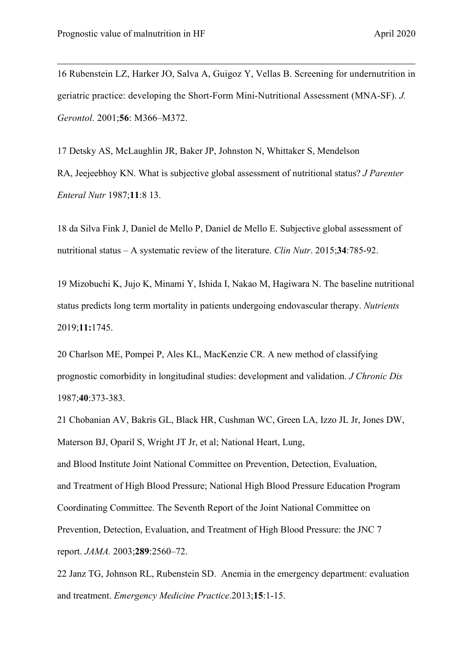16 Rubenstein LZ, Harker JO, Salva A, Guigoz Y, Vellas B. Screening for undernutrition in geriatric practice: developing the Short-Form Mini-Nutritional Assessment (MNA-SF). *J. Gerontol.* 2001;**56**: M366–M372.

<span id="page-31-0"></span>17 Detsky AS, McLaughlin JR, Baker JP, [Johnston N,](https://www.ncbi.nlm.nih.gov/pubmed/?term=Johnston%20N%5BAuthor%5D&cauthor=true&cauthor_uid=3820522) [Whittaker S,](https://www.ncbi.nlm.nih.gov/pubmed/?term=Whittaker%20S%5BAuthor%5D&cauthor=true&cauthor_uid=3820522) [Mendelson](https://www.ncbi.nlm.nih.gov/pubmed/?term=Mendelson%20RA%5BAuthor%5D&cauthor=true&cauthor_uid=3820522)  [RA,](https://www.ncbi.nlm.nih.gov/pubmed/?term=Mendelson%20RA%5BAuthor%5D&cauthor=true&cauthor_uid=3820522) [Jeejeebhoy KN.](https://www.ncbi.nlm.nih.gov/pubmed/?term=Jeejeebhoy%20KN%5BAuthor%5D&cauthor=true&cauthor_uid=3820522) What is subjective global assessment of nutritional status? *J Parenter Enteral Nutr* 1987;**11**:8 13.

<span id="page-31-1"></span>18 [da Silva Fink J,](https://www.ncbi.nlm.nih.gov/pubmed/?term=da%20Silva%20Fink%20J%5BAuthor%5D&cauthor=true&cauthor_uid=25596153) [Daniel de Mello P,](https://www.ncbi.nlm.nih.gov/pubmed/?term=Daniel%20de%20Mello%20P%5BAuthor%5D&cauthor=true&cauthor_uid=25596153) [Daniel de Mello E.](https://www.ncbi.nlm.nih.gov/pubmed/?term=Daniel%20de%20Mello%20E%5BAuthor%5D&cauthor=true&cauthor_uid=25596153) Subjective global assessment of nutritional status – A systematic review of the literature. *[Clin Nutr](https://www.ncbi.nlm.nih.gov/pubmed/25596153)*. 2015;**34**:785-92.

<span id="page-31-2"></span>19 Mizobuchi K, Jujo K, Minami Y, Ishida I, Nakao M, Hagiwara N. The baseline nutritional status predicts long term mortality in patients undergoing endovascular therapy. *Nutrients*  2019;**11:**1745.

<span id="page-31-3"></span>20 Charlson ME, Pompei P, Ales KL, [MacKenzie CR.](http://www.ncbi.nlm.nih.gov/pubmed/?term=MacKenzie%20CR%5BAuthor%5D&cauthor=true&cauthor_uid=3558716) A new method of classifying prognostic comorbidity in longitudinal studies: development and validation. *J Chronic Dis* 1987;**40**:373-383.

<span id="page-31-5"></span><span id="page-31-4"></span>21 Chobanian AV, Bakris GL, Black HR, Cushman WC, Green LA, Izzo JL Jr, Jones DW, Materson BJ, Oparil S, Wright JT Jr, et al; National Heart, Lung, and Blood Institute Joint National Committee on Prevention, Detection, Evaluation, and Treatment of High Blood Pressure; National High Blood Pressure Education Program Coordinating Committee. The Seventh Report of the Joint National Committee on Prevention, Detection, Evaluation, and Treatment of High Blood Pressure: the JNC 7 report. *JAMA.* 2003;**289**:2560–72.

<span id="page-31-6"></span>22 Janz TG, Johnson RL, Rubenstein SD. Anemia in the emergency department: evaluation and treatment. *Emergency Medicine Practice*.2013;**15**:1-15.